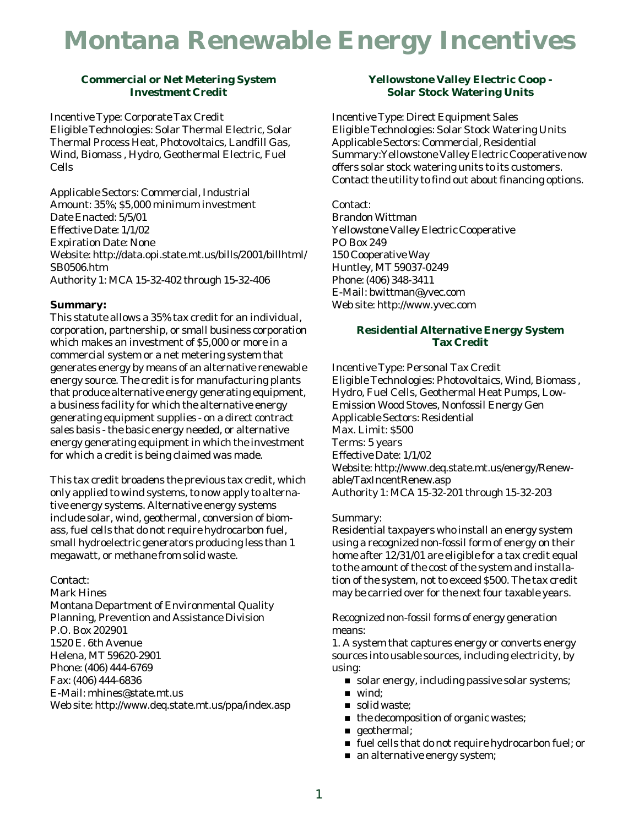# **Montana Renewable Energy Incentives**

## **Commercial or Net Metering System Investment Credit**

Incentive Type: Corporate Tax Credit Eligible Technologies: Solar Thermal Electric, Solar Thermal Process Heat, Photovoltaics, Landfill Gas, Wind, Biomass , Hydro, Geothermal Electric, Fuel Cells

Applicable Sectors: Commercial, Industrial Amount: 35%; \$5,000 minimum investment Date Enacted: 5/5/01 Effective Date: 1/1/02 Expiration Date: None Website: http://data.opi.state.mt.us/bills/2001/billhtml/ SB0506.htm Authority 1: MCA 15-32-402 through 15-32-406

## **Summary:**

This statute allows a 35% tax credit for an individual, corporation, partnership, or small business corporation which makes an investment of \$5,000 or more in a commercial system or a net metering system that generates energy by means of an alternative renewable energy source. The credit is for manufacturing plants that produce alternative energy generating equipment, a business facility for which the alternative energy generating equipment supplies - on a direct contract sales basis - the basic energy needed, or alternative energy generating equipment in which the investment for which a credit is being claimed was made.

This tax credit broadens the previous tax credit, which only applied to wind systems, to now apply to alternative energy systems. Alternative energy systems include solar, wind, geothermal, conversion of biomass, fuel cells that do not require hydrocarbon fuel, small hydroelectric generators producing less than 1 megawatt, or methane from solid waste.

Contact:

Mark Hines Montana Department of Environmental Quality Planning, Prevention and Assistance Division P.O. Box 202901 1520 E. 6th Avenue Helena, MT 59620-2901 Phone: (406) 444-6769 Fax: (406) 444-6836 E-Mail: mhines@state.mt.us Web site: http://www.deq.state.mt.us/ppa/index.asp

## **Yellowstone Valley Electric Coop - Solar Stock Watering Units**

Incentive Type: Direct Equipment Sales Eligible Technologies: Solar Stock Watering Units Applicable Sectors: Commercial, Residential Summary:Yellowstone Valley Electric Cooperative now offers solar stock watering units to its customers. Contact the utility to find out about financing options.

Contact: Brandon Wittman Yellowstone Valley Electric Cooperative PO Box 249 150 Cooperative Way Huntley, MT 59037-0249 Phone: (406) 348-3411 E-Mail: bwittman@yvec.com Web site: http://www.yvec.com

## **Residential Alternative Energy System Tax Credit**

Incentive Type: Personal Tax Credit Eligible Technologies: Photovoltaics, Wind, Biomass , Hydro, Fuel Cells, Geothermal Heat Pumps, Low-Emission Wood Stoves, Nonfossil Energy Gen Applicable Sectors: Residential Max. Limit: \$500 Terms: 5 years Effective Date: 1/1/02 Website: http://www.deq.state.mt.us/energy/Renewable/TaxIncentRenew.asp Authority 1: MCA 15-32-201 through 15-32-203

## Summary:

Residential taxpayers who install an energy system using a recognized non-fossil form of energy on their home after 12/31/01 are eligible for a tax credit equal to the amount of the cost of the system and installation of the system, not to exceed \$500. The tax credit may be carried over for the next four taxable years.

Recognized non-fossil forms of energy generation means:

1. A system that captures energy or converts energy sources into usable sources, including electricity, by using:

- solar energy, including passive solar systems;
- $\blacksquare$  wind;
- solid waste;
- $\blacksquare$  the decomposition of organic wastes;
- geothermal;
- fuel cells that do not require hydrocarbon fuel; or
- $\blacksquare$  an alternative energy system;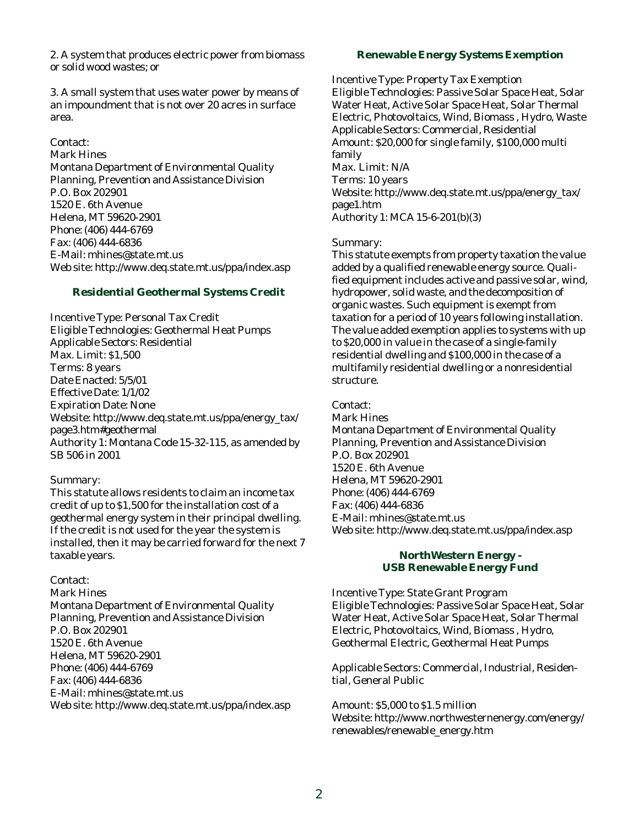2. A system that produces electric power from biomass or solid wood wastes; or

3. A small system that uses water power by means of an impoundment that is not over 20 acres in surface area.

#### Contact:

Mark Hines Montana Department of Environmental Quality Planning, Prevention and Assistance Division P.O. Box 202901 1520 E. 6th Avenue Helena, MT 59620-2901 Phone: (406) 444-6769 Fax: (406) 444-6836 E-Mail: mhines@state.mt.us Web site: http://www.deq.state.mt.us/ppa/index.asp

## **Residential Geothermal Systems Credit**

Incentive Type: Personal Tax Credit Eligible Technologies: Geothermal Heat Pumps Applicable Sectors: Residential Max. Limit: \$1,500 Terms: 8 years Date Enacted: 5/5/01 Effective Date: 1/1/02 Expiration Date: None Website: http://www.deq.state.mt.us/ppa/energy\_tax/ page3.htm#geothermal Authority 1: Montana Code 15-32-115, as amended by SB 506 in 2001

#### Summary:

This statute allows residents to claim an income tax credit of up to \$1,500 for the installation cost of a geothermal energy system in their principal dwelling. If the credit is not used for the year the system is installed, then it may be carried forward for the next 7 taxable years.

#### Contact:

Mark Hines Montana Department of Environmental Quality Planning, Prevention and Assistance Division P.O. Box 202901 1520 E. 6th Avenue Helena, MT 59620-2901 Phone: (406) 444-6769 Fax: (406) 444-6836 E-Mail: mhines@state.mt.us Web site: http://www.deq.state.mt.us/ppa/index.asp

## **Renewable Energy Systems Exemption**

Incentive Type: Property Tax Exemption Eligible Technologies: Passive Solar Space Heat, Solar Water Heat, Active Solar Space Heat, Solar Thermal Electric, Photovoltaics, Wind, Biomass , Hydro, Waste Applicable Sectors: Commercial, Residential Amount: \$20,000 for single family, \$100,000 multi family Max. Limit: N/A Terms: 10 years Website: http://www.deq.state.mt.us/ppa/energy\_tax/ page1.htm Authority 1: MCA 15-6-201(b)(3)

#### Summary:

This statute exempts from property taxation the value added by a qualified renewable energy source. Qualified equipment includes active and passive solar, wind, hydropower, solid waste, and the decomposition of organic wastes. Such equipment is exempt from taxation for a period of 10 years following installation. The value added exemption applies to systems with up to \$20,000 in value in the case of a single-family residential dwelling and \$100,000 in the case of a multifamily residential dwelling or a nonresidential structure.

Contact:

Mark Hines Montana Department of Environmental Quality Planning, Prevention and Assistance Division P.O. Box 202901 1520 E. 6th Avenue Helena, MT 59620-2901 Phone: (406) 444-6769 Fax: (406) 444-6836 E-Mail: mhines@state.mt.us Web site: http://www.deq.state.mt.us/ppa/index.asp

#### **NorthWestern Energy - USB Renewable Energy Fund**

Incentive Type: State Grant Program Eligible Technologies: Passive Solar Space Heat, Solar Water Heat, Active Solar Space Heat, Solar Thermal Electric, Photovoltaics, Wind, Biomass , Hydro, Geothermal Electric, Geothermal Heat Pumps

Applicable Sectors: Commercial, Industrial, Residential, General Public

Amount: \$5,000 to \$1.5 million Website: http://www.northwesternenergy.com/energy/ renewables/renewable\_energy.htm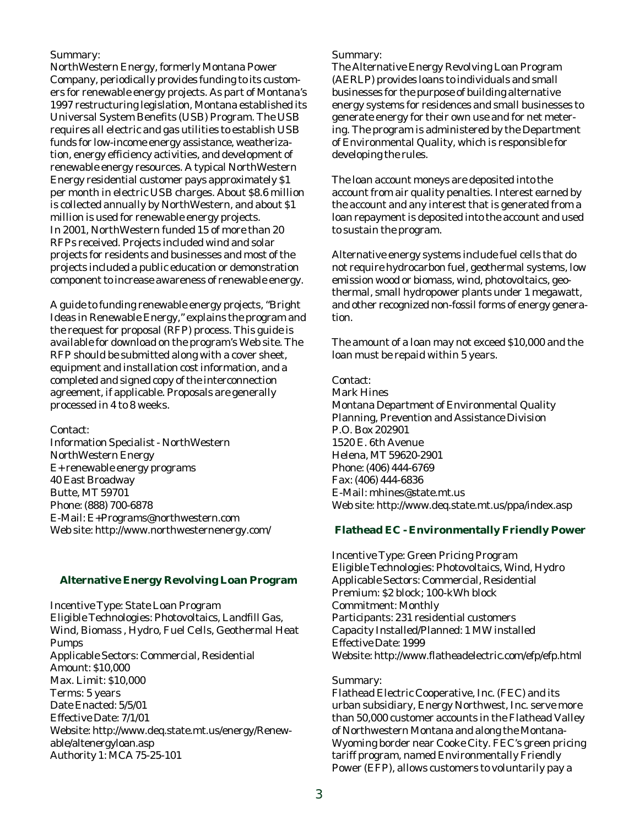Summary:

NorthWestern Energy, formerly Montana Power Company, periodically provides funding to its customers for renewable energy projects. As part of Montana's 1997 restructuring legislation, Montana established its Universal System Benefits (USB) Program. The USB requires all electric and gas utilities to establish USB funds for low-income energy assistance, weatherization, energy efficiency activities, and development of renewable energy resources. A typical NorthWestern Energy residential customer pays approximately \$1 per month in electric USB charges. About \$8.6 million is collected annually by NorthWestern, and about \$1 million is used for renewable energy projects. In 2001, NorthWestern funded 15 of more than 20 RFPs received. Projects included wind and solar projects for residents and businesses and most of the projects included a public education or demonstration component to increase awareness of renewable energy.

A guide to funding renewable energy projects, "Bright Ideas in Renewable Energy," explains the program and the request for proposal (RFP) process. This guide is available for download on the program's Web site. The RFP should be submitted along with a cover sheet, equipment and installation cost information, and a completed and signed copy of the interconnection agreement, if applicable. Proposals are generally processed in 4 to 8 weeks.

Contact:

Information Specialist - NorthWestern NorthWestern Energy E+ renewable energy programs 40 East Broadway Butte, MT 59701 Phone: (888) 700-6878 E-Mail: E+Programs@northwestern.com Web site: http://www.northwesternenergy.com/

## **Alternative Energy Revolving Loan Program**

Incentive Type: State Loan Program Eligible Technologies: Photovoltaics, Landfill Gas, Wind, Biomass , Hydro, Fuel Cells, Geothermal Heat Pumps Applicable Sectors: Commercial, Residential Amount: \$10,000 Max. Limit: \$10,000 Terms: 5 years Date Enacted: 5/5/01 Effective Date: 7/1/01 Website: http://www.deq.state.mt.us/energy/Renewable/altenergyloan.asp Authority 1: MCA 75-25-101

Summary:

The Alternative Energy Revolving Loan Program (AERLP) provides loans to individuals and small businesses for the purpose of building alternative energy systems for residences and small businesses to generate energy for their own use and for net metering. The program is administered by the Department of Environmental Quality, which is responsible for developing the rules.

The loan account moneys are deposited into the account from air quality penalties. Interest earned by the account and any interest that is generated from a loan repayment is deposited into the account and used to sustain the program.

Alternative energy systems include fuel cells that do not require hydrocarbon fuel, geothermal systems, low emission wood or biomass, wind, photovoltaics, geothermal, small hydropower plants under 1 megawatt, and other recognized non-fossil forms of energy generation.

The amount of a loan may not exceed \$10,000 and the loan must be repaid within 5 years.

# Contact:

Mark Hines Montana Department of Environmental Quality Planning, Prevention and Assistance Division P.O. Box 202901 1520 E. 6th Avenue Helena, MT 59620-2901 Phone: (406) 444-6769 Fax: (406) 444-6836 E-Mail: mhines@state.mt.us Web site: http://www.deq.state.mt.us/ppa/index.asp

## **Flathead EC - Environmentally Friendly Power**

Incentive Type: Green Pricing Program Eligible Technologies: Photovoltaics, Wind, Hydro Applicable Sectors: Commercial, Residential Premium: \$2 block; 100-kWh block Commitment: Monthly Participants: 231 residential customers Capacity Installed/Planned: 1 MW installed Effective Date: 1999 Website: http://www.flatheadelectric.com/efp/efp.html

#### Summary:

Flathead Electric Cooperative, Inc. (FEC) and its urban subsidiary, Energy Northwest, Inc. serve more than 50,000 customer accounts in the Flathead Valley of Northwestern Montana and along the Montana-Wyoming border near Cooke City. FEC's green pricing tariff program, named Environmentally Friendly Power (EFP), allows customers to voluntarily pay a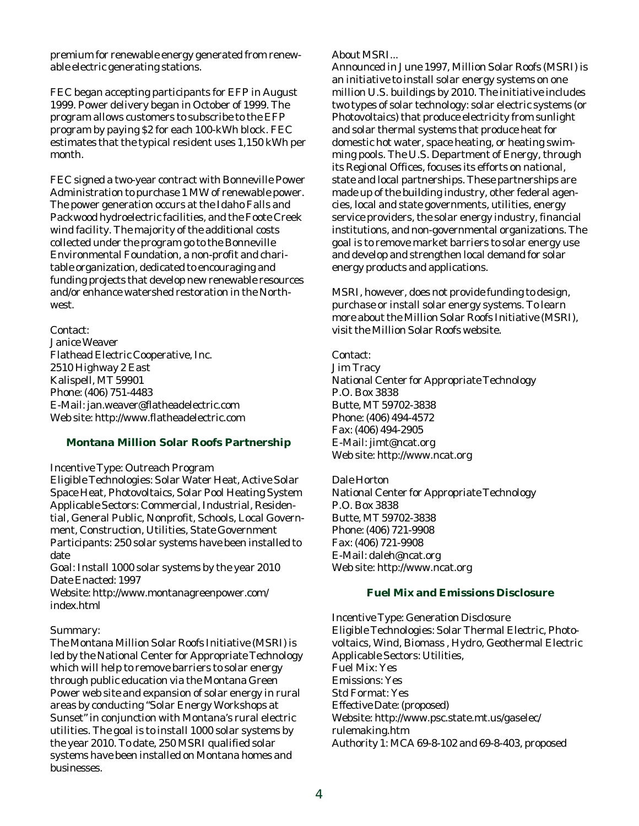premium for renewable energy generated from renewable electric generating stations.

FEC began accepting participants for EFP in August 1999. Power delivery began in October of 1999. The program allows customers to subscribe to the EFP program by paying \$2 for each 100-kWh block. FEC estimates that the typical resident uses 1,150 kWh per month.

FEC signed a two-year contract with Bonneville Power Administration to purchase 1 MW of renewable power. The power generation occurs at the Idaho Falls and Packwood hydroelectric facilities, and the Foote Creek wind facility. The majority of the additional costs collected under the program go to the Bonneville Environmental Foundation, a non-profit and charitable organization, dedicated to encouraging and funding projects that develop new renewable resources and/or enhance watershed restoration in the Northwest.

#### Contact:

Janice Weaver Flathead Electric Cooperative, Inc. 2510 Highway 2 East Kalispell, MT 59901 Phone: (406) 751-4483 E-Mail: jan.weaver@flatheadelectric.com Web site: http://www.flatheadelectric.com

#### **Montana Million Solar Roofs Partnership**

Incentive Type: Outreach Program

Eligible Technologies: Solar Water Heat, Active Solar Space Heat, Photovoltaics, Solar Pool Heating System Applicable Sectors: Commercial, Industrial, Residential, General Public, Nonprofit, Schools, Local Government, Construction, Utilities, State Government Participants: 250 solar systems have been installed to date

Goal: Install 1000 solar systems by the year 2010 Date Enacted: 1997

Website: http://www.montanagreenpower.com/ index.html

### Summary:

The Montana Million Solar Roofs Initiative (MSRI) is led by the National Center for Appropriate Technology which will help to remove barriers to solar energy through public education via the Montana Green Power web site and expansion of solar energy in rural areas by conducting "Solar Energy Workshops at Sunset" in conjunction with Montana's rural electric utilities. The goal is to install 1000 solar systems by the year 2010. To date, 250 MSRI qualified solar systems have been installed on Montana homes and businesses.

#### About MSRI...

Announced in June 1997, Million Solar Roofs (MSRI) is an initiative to install solar energy systems on one million U.S. buildings by 2010. The initiative includes two types of solar technology: solar electric systems (or Photovoltaics) that produce electricity from sunlight and solar thermal systems that produce heat for domestic hot water, space heating, or heating swimming pools. The U.S. Department of Energy, through its Regional Offices, focuses its efforts on national, state and local partnerships. These partnerships are made up of the building industry, other federal agencies, local and state governments, utilities, energy service providers, the solar energy industry, financial institutions, and non-governmental organizations. The goal is to remove market barriers to solar energy use and develop and strengthen local demand for solar energy products and applications.

MSRI, however, does not provide funding to design, purchase or install solar energy systems. To learn more about the Million Solar Roofs Initiative (MSRI), visit the Million Solar Roofs website.

## Contact:

Jim Tracy National Center for Appropriate Technology P.O. Box 3838 Butte, MT 59702-3838 Phone: (406) 494-4572 Fax: (406) 494-2905 E-Mail: jimt@ncat.org Web site: http://www.ncat.org

Dale Horton National Center for Appropriate Technology P.O. Box 3838 Butte, MT 59702-3838 Phone: (406) 721-9908 Fax: (406) 721-9908 E-Mail: daleh@ncat.org Web site: http://www.ncat.org

#### **Fuel Mix and Emissions Disclosure**

Incentive Type: Generation Disclosure Eligible Technologies: Solar Thermal Electric, Photovoltaics, Wind, Biomass , Hydro, Geothermal Electric Applicable Sectors: Utilities, Fuel Mix: Yes Emissions: Yes Std Format: Yes Effective Date: (proposed) Website: http://www.psc.state.mt.us/gaselec/ rulemaking.htm Authority 1: MCA 69-8-102 and 69-8-403, proposed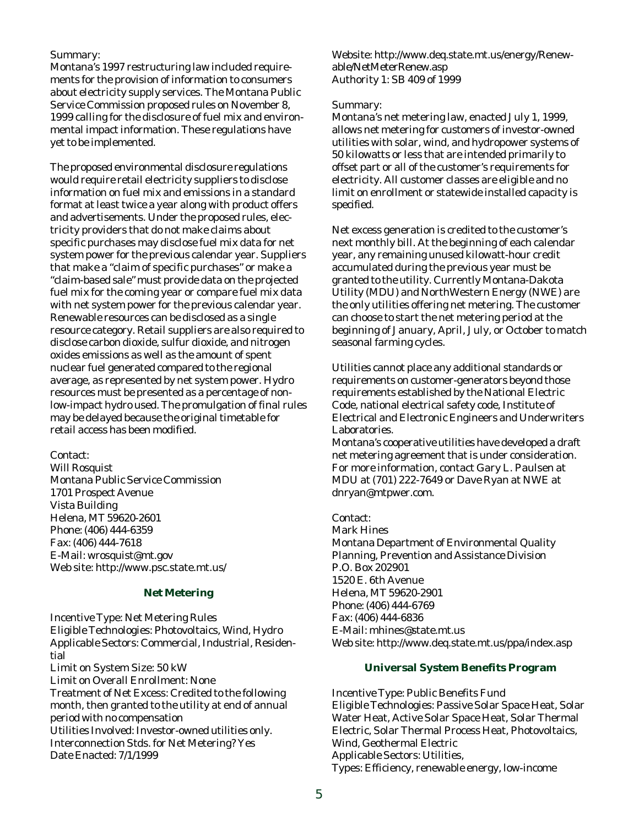## Summary:

Montana's 1997 restructuring law included requirements for the provision of information to consumers about electricity supply services. The Montana Public Service Commission proposed rules on November 8, 1999 calling for the disclosure of fuel mix and environmental impact information. These regulations have yet to be implemented.

The proposed environmental disclosure regulations would require retail electricity suppliers to disclose information on fuel mix and emissions in a standard format at least twice a year along with product offers and advertisements. Under the proposed rules, electricity providers that do not make claims about specific purchases may disclose fuel mix data for net system power for the previous calendar year. Suppliers that make a "claim of specific purchases" or make a "claim-based sale" must provide data on the projected fuel mix for the coming year or compare fuel mix data with net system power for the previous calendar year. Renewable resources can be disclosed as a single resource category. Retail suppliers are also required to disclose carbon dioxide, sulfur dioxide, and nitrogen oxides emissions as well as the amount of spent nuclear fuel generated compared to the regional average, as represented by net system power. Hydro resources must be presented as a percentage of nonlow-impact hydro used. The promulgation of final rules may be delayed because the original timetable for retail access has been modified.

Contact:

Will Rosquist Montana Public Service Commission 1701 Prospect Avenue Vista Building Helena, MT 59620-2601 Phone: (406) 444-6359 Fax: (406) 444-7618 E-Mail: wrosquist@mt.gov Web site: http://www.psc.state.mt.us/

## **Net Metering**

Incentive Type: Net Metering Rules Eligible Technologies: Photovoltaics, Wind, Hydro Applicable Sectors: Commercial, Industrial, Residential Limit on System Size: 50 kW Limit on Overall Enrollment: None Treatment of Net Excess: Credited to the following month, then granted to the utility at end of annual period with no compensation Utilities Involved: Investor-owned utilities only. Interconnection Stds. for Net Metering? Yes Date Enacted: 7/1/1999

Website: http://www.deq.state.mt.us/energy/Renewable/NetMeterRenew.asp Authority 1: SB 409 of 1999

## Summary:

Montana's net metering law, enacted July 1, 1999, allows net metering for customers of investor-owned utilities with solar, wind, and hydropower systems of 50 kilowatts or less that are intended primarily to offset part or all of the customer's requirements for electricity. All customer classes are eligible and no limit on enrollment or statewide installed capacity is specified.

Net excess generation is credited to the customer's next monthly bill. At the beginning of each calendar year, any remaining unused kilowatt-hour credit accumulated during the previous year must be granted to the utility. Currently Montana-Dakota Utility (MDU) and NorthWestern Energy (NWE) are the only utilities offering net metering. The customer can choose to start the net metering period at the beginning of January, April, July, or October to match seasonal farming cycles.

Utilities cannot place any additional standards or requirements on customer-generators beyond those requirements established by the National Electric Code, national electrical safety code, Institute of Electrical and Electronic Engineers and Underwriters Laboratories.

Montana's cooperative utilities have developed a draft net metering agreement that is under consideration. For more information, contact Gary L. Paulsen at MDU at (701) 222-7649 or Dave Ryan at NWE at dnryan@mtpwer.com.

## Contact:

Mark Hines Montana Department of Environmental Quality Planning, Prevention and Assistance Division P.O. Box 202901 1520 E. 6th Avenue Helena, MT 59620-2901 Phone: (406) 444-6769 Fax: (406) 444-6836 E-Mail: mhines@state.mt.us Web site: http://www.deq.state.mt.us/ppa/index.asp

# **Universal System Benefits Program**

Incentive Type: Public Benefits Fund Eligible Technologies: Passive Solar Space Heat, Solar Water Heat, Active Solar Space Heat, Solar Thermal Electric, Solar Thermal Process Heat, Photovoltaics, Wind, Geothermal Electric Applicable Sectors: Utilities, Types: Efficiency, renewable energy, low-income